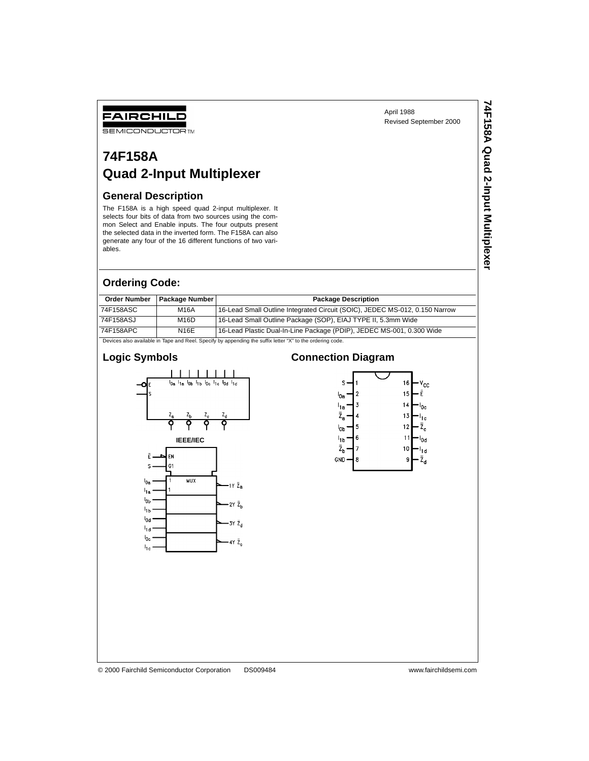**74F158A Quad 2-Input Multiplexer**

74F158A Quad 2-Input Multiplexer

#### FAIRCHILD **SEMICONDUCTOR TM**

## **74F158A Quad 2-Input Multiplexer**

#### **General Description**

The F158A is a high speed quad 2-input multiplexer. It selects four bits of data from two sources using the common Select and Enable inputs. The four outputs present the selected data in the inverted form. The F158A can also generate any four of the 16 different functions of two variables.

#### **Ordering Code:**

| <b>Order Number</b>                                                                                       | <b>Package Number</b> | <b>Package Description</b>                                                  |  |  |  |
|-----------------------------------------------------------------------------------------------------------|-----------------------|-----------------------------------------------------------------------------|--|--|--|
| 74F158ASC                                                                                                 | M16A                  | 16-Lead Small Outline Integrated Circuit (SOIC), JEDEC MS-012, 0.150 Narrow |  |  |  |
| 74F158ASJ                                                                                                 | M16D                  | 16-Lead Small Outline Package (SOP), EIAJ TYPE II, 5.3mm Wide               |  |  |  |
| 74F158APC                                                                                                 | <b>N16E</b>           | 16-Lead Plastic Dual-In-Line Package (PDIP), JEDEC MS-001, 0.300 Wide       |  |  |  |
| Devices also available in Tape and Reel. Specify by appending the suffix letter "X" to the ordering code. |                       |                                                                             |  |  |  |

#### **Logic Symbols**



#### **Connection Diagram**

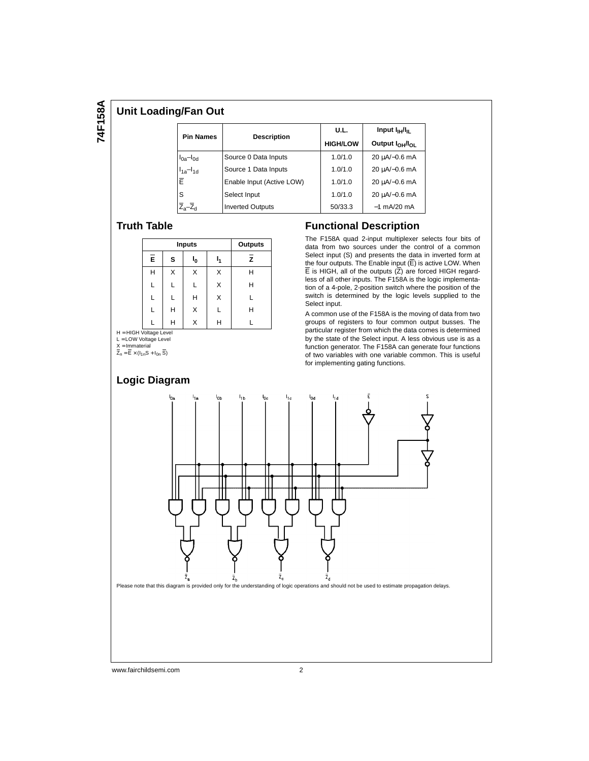# 74F158A **74F158A**

#### **Unit Loading/Fan Out**

|                  |                           | U.L.            | Input $I_{\text{H}}/I_{\text{H}}$       |  |
|------------------|---------------------------|-----------------|-----------------------------------------|--|
| <b>Pin Names</b> | <b>Description</b>        | <b>HIGH/LOW</b> | Output I <sub>OH</sub> /I <sub>OL</sub> |  |
| $I0a-I0d$        | Source 0 Data Inputs      | 1.0/1.0         | $20 \mu A/-0.6 \text{ mA}$              |  |
| $I1a-I1d$        | Source 1 Data Inputs      | 1.0/1.0         | $20 \mu A/-0.6 \text{ mA}$              |  |
| Ē                | Enable Input (Active LOW) | 1.0/1.0         | 20 µA/-0.6 mA                           |  |
| S                | Select Input              | 1.0/1.0         | $20 \mu A/-0.6 \text{ mA}$              |  |
|                  | <b>Inverted Outputs</b>   | 50/33.3         | $-1$ mA/20 mA                           |  |

#### **Truth Table**

|   |   | Inputs | Outputs |    |                |
|---|---|--------|---------|----|----------------|
|   | Ē | s      | ı,      | I۰ | $\overline{z}$ |
|   | Н | x      | X       | X  | Н              |
|   | L |        |         | X  | Н              |
|   | L |        | Н       | X  | L              |
|   | L | н      | X       |    | Н              |
| . |   | н      | X       | н  |                |

H = HIGH Voltage Level L = LOW Voltage Level

X = Immaterial<br>Z<sub>n</sub> = E × (I<sub>1n</sub>S + I<sub>0n</sub> S)

#### **Functional Description** The F158A quad 2-input multiplexer selects four bits of

data from two sources under the control of a common Select input (S) and presents the data in inverted form at the four outputs. The Enable input  $(\overline{E})$  is active LOW. When  $\overline{E}$  is HIGH, all of the outputs  $(Z)$  are forced HIGH regardless of all other inputs. The F158A is the logic implementation of a 4-pole, 2-position switch where the position of the switch is determined by the logic levels supplied to the Select input.

A common use of the F158A is the moving of data from two groups of registers to four common output busses. The particular register from which the data comes is determined by the state of the Select input. A less obvious use is as a function generator. The F158A can generate four functions of two variables with one variable common. This is useful for implementing gating functions.



www.fairchildsemi.com 2